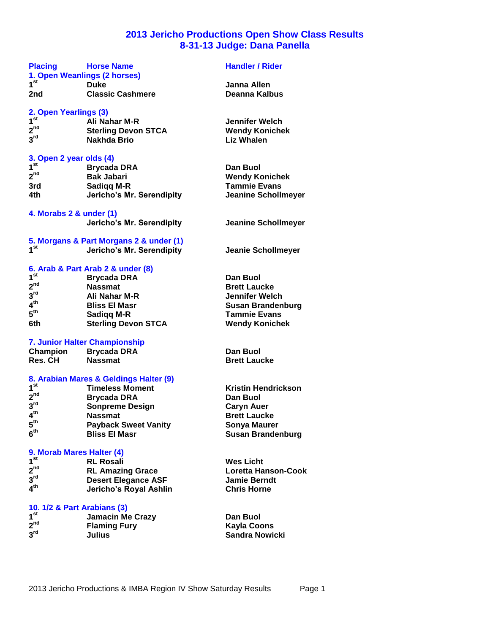# **2013 Jericho Productions Open Show Class Results 8-31-13 Judge: Dana Panella**

| <b>Placing</b>              | <b>Horse Name</b><br>1. Open Weanlings (2 horses) | <b>Handler / Rider</b>     |
|-----------------------------|---------------------------------------------------|----------------------------|
| 1 <sup>st</sup>             | <b>Duke</b>                                       | Janna Allen                |
| 2nd                         | <b>Classic Cashmere</b>                           | Deanna Kalbus              |
|                             |                                                   |                            |
| 2. Open Yearlings (3)       |                                                   |                            |
| 1 <sup>st</sup>             | Ali Nahar M-R                                     | <b>Jennifer Welch</b>      |
| 2 <sup>nd</sup>             | <b>Sterling Devon STCA</b>                        | <b>Wendy Konichek</b>      |
| $3^{\text{rd}}$             | Nakhda Brio                                       | <b>Liz Whalen</b>          |
| 3. Open 2 year olds (4)     |                                                   |                            |
| 1 <sup>st</sup>             | <b>Brycada DRA</b>                                | Dan Buol                   |
| 2 <sup>nd</sup>             | <b>Bak Jabari</b>                                 | <b>Wendy Konichek</b>      |
| 3rd                         | <b>Sadigg M-R</b>                                 | <b>Tammie Evans</b>        |
| 4th                         | Jericho's Mr. Serendipity                         | <b>Jeanine Schollmeye</b>  |
|                             |                                                   |                            |
| 4. Morabs 2 & under (1)     |                                                   |                            |
|                             | Jericho's Mr. Serendipity                         | <b>Jeanine Schollmeye</b>  |
|                             | 5. Morgans & Part Morgans 2 & under (1)           |                            |
| 1 <sup>st</sup>             | Jericho's Mr. Serendipity                         | <b>Jeanie Schollmeyer</b>  |
|                             | 6. Arab & Part Arab 2 & under (8)                 |                            |
| 1 <sup>st</sup>             | <b>Brycada DRA</b>                                | Dan Buol                   |
| 2 <sup>nd</sup>             | <b>Nassmat</b>                                    | <b>Brett Laucke</b>        |
| 3 <sup>rd</sup>             | Ali Nahar M-R                                     | <b>Jennifer Welch</b>      |
| 4 <sup>th</sup>             | <b>Bliss El Masr</b>                              | <b>Susan Brandenburg</b>   |
| 5 <sup>th</sup>             | Sadigg M-R                                        | <b>Tammie Evans</b>        |
| 6th                         | <b>Sterling Devon STCA</b>                        | <b>Wendy Konichek</b>      |
|                             |                                                   |                            |
|                             | 7. Junior Halter Championship                     |                            |
| Champion                    | Brycada DRA                                       | Dan Buol                   |
| Res. CH                     | <b>Nassmat</b>                                    | <b>Brett Laucke</b>        |
|                             | 8. Arabian Mares & Geldings Halter (9)            |                            |
| 1 <sup>st</sup>             | <b>Timeless Moment</b>                            | <b>Kristin Hendrickson</b> |
| 2 <sup>nd</sup>             | <b>Brycada DRA</b>                                | Dan Buol                   |
| 3 <sup>rd</sup>             | <b>Sonpreme Design</b>                            | <b>Caryn Auer</b>          |
| 4 <sup>th</sup>             | <b>Nassmat</b>                                    | <b>Brett Laucke</b>        |
| 5 <sup>th</sup>             | <b>Payback Sweet Vanity</b>                       | <b>Sonya Maurer</b>        |
| 6 <sup>th</sup>             | <b>Bliss El Masr</b>                              | <b>Susan Brandenburg</b>   |
| 9. Morab Mares Halter (4)   |                                                   |                            |
| 1 <sup>st</sup>             | <b>RL Rosali</b>                                  | <b>Wes Licht</b>           |
| 2 <sup>nd</sup>             | <b>RL Amazing Grace</b>                           | Loretta Hanson-Coo         |
| 3 <sup>rd</sup>             | <b>Desert Elegance ASF</b>                        | <b>Jamie Berndt</b>        |
| 4 <sup>th</sup>             | Jericho's Royal Ashlin                            | <b>Chris Horne</b>         |
|                             |                                                   |                            |
| 10. 1/2 & Part Arabians (3) |                                                   |                            |
| 1 <sup>st</sup>             | <b>Jamacin Me Crazy</b>                           | Dan Buol                   |

| st | <b>Jamacin Me Crazy</b> | Dan Buol              |
|----|-------------------------|-----------------------|
| nd | <b>Flaming Fury</b>     | Kayla Coons           |
| rd | Julius                  | <b>Sandra Nowicki</b> |

**2**

 $\overline{3}^{\text{rd}}$ 

| <b>Dan Buol</b>          |
|--------------------------|
| <b>Brett Laucke</b>      |
| <b>Jennifer Welch</b>    |
| <b>Susan Brandenburg</b> |
| <b>Tammie Evans</b>      |
| <b>Wendy Konichek</b>    |

**s** Licht **nd RL Amazing Grace Loretta Hanson-Cook rdie Berndt the** Horne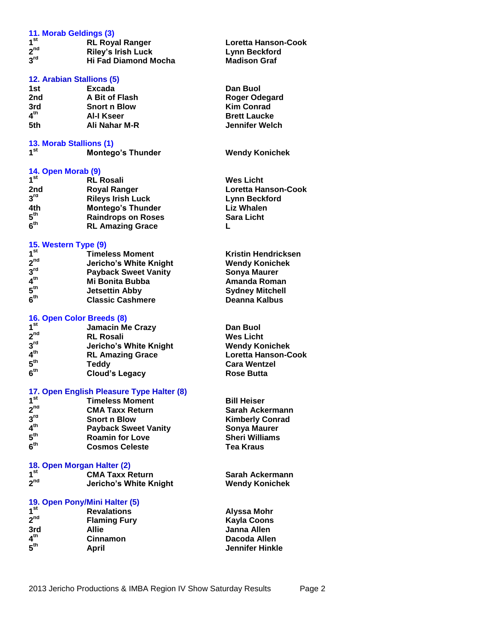| 11. Morab Geldings (3)<br>1 <sup>st</sup> |                                           |                            |
|-------------------------------------------|-------------------------------------------|----------------------------|
| 2 <sup>nd</sup>                           | <b>RL Royal Ranger</b>                    | Loretta Hanson-Cook        |
| $3^{\text{rd}}$                           | <b>Riley's Irish Luck</b>                 | <b>Lynn Beckford</b>       |
|                                           | <b>Hi Fad Diamond Mocha</b>               | <b>Madison Graf</b>        |
| 12. Arabian Stallions (5)                 |                                           |                            |
| 1st                                       | Excada                                    | Dan Buol                   |
| 2nd                                       | A Bit of Flash                            | <b>Roger Odegard</b>       |
| 3rd -                                     | <b>Snort n Blow</b>                       | <b>Kim Conrad</b>          |
| $4^{\text{th}}$                           | AI-I Kseer                                | <b>Brett Laucke</b>        |
| 5th.                                      | Ali Nahar M-R                             | <b>Jennifer Welch</b>      |
|                                           |                                           |                            |
| 13. Morab Stallions (1)                   |                                           |                            |
| 1 <sup>st</sup>                           | <b>Montego's Thunder</b>                  | <b>Wendy Konichek</b>      |
|                                           |                                           |                            |
| 14. Open Morab (9)                        |                                           |                            |
| 1 <sup>st</sup>                           | <b>RL Rosali</b>                          | <b>Wes Licht</b>           |
| 2nd                                       | <b>Royal Ranger</b>                       | Loretta Hanson-Cook        |
| $3^{\text{rd}}$                           | <b>Rileys Irish Luck</b>                  | <b>Lynn Beckford</b>       |
| 4th.                                      | <b>Montego's Thunder</b>                  | <b>Liz Whalen</b>          |
| $5^{\text{th}}$                           | <b>Raindrops on Roses</b>                 | <b>Sara Licht</b>          |
| 6 <sup>th</sup>                           | <b>RL Amazing Grace</b>                   | L                          |
|                                           |                                           |                            |
| 15. Western Type (9)                      |                                           |                            |
| 1 <sup>st</sup>                           | <b>Timeless Moment</b>                    | <b>Kristin Hendricksen</b> |
| 2 <sup>nd</sup>                           | Jericho's White Knight                    | <b>Wendy Konichek</b>      |
| 3 <sup>rd</sup>                           | <b>Payback Sweet Vanity</b>               | <b>Sonya Maurer</b>        |
| 4 <sup>th</sup>                           | <b>Mi Bonita Bubba</b>                    | <b>Amanda Roman</b>        |
| 5 <sup>th</sup>                           | <b>Jetsettin Abby</b>                     | <b>Sydney Mitchell</b>     |
| 6 <sup>th</sup>                           | <b>Classic Cashmere</b>                   | Deanna Kalbus              |
|                                           |                                           |                            |
| 16. Open Color Breeds (8)                 |                                           |                            |
| 1 <sup>st</sup>                           | <b>Jamacin Me Crazy</b>                   | Dan Buol                   |
| 2 <sup>nd</sup>                           | <b>RL Rosali</b>                          | <b>Wes Licht</b>           |
| 3 <sup>rd</sup>                           | Jericho's White Knight                    | <b>Wendy Konichek</b>      |
| 4 <sup>th</sup>                           | <b>RL Amazing Grace</b>                   | <b>Loretta Hanson-Cook</b> |
| $5^{\text{th}}$                           | <b>Teddy</b>                              | <b>Cara Wentzel</b>        |
| 6 <sup>th</sup>                           | <b>Cloud's Legacy</b>                     | <b>Rose Butta</b>          |
|                                           |                                           |                            |
|                                           | 17. Open English Pleasure Type Halter (8) |                            |
| 1 <sup>st</sup>                           | <b>Timeless Moment</b>                    | <b>Bill Heiser</b>         |
| 2 <sup>nd</sup>                           | <b>CMA Taxx Return</b>                    | Sarah Ackermann            |
| 3 <sup>rd</sup>                           | <b>Snort n Blow</b>                       | <b>Kimberly Conrad</b>     |
| 4 <sup>th</sup>                           | <b>Payback Sweet Vanity</b>               | <b>Sonya Maurer</b>        |
| 5 <sup>th</sup>                           | <b>Roamin for Love</b>                    | <b>Sheri Williams</b>      |
| 6 <sup>th</sup>                           | <b>Cosmos Celeste</b>                     | <b>Tea Kraus</b>           |
|                                           |                                           |                            |
| 18. Open Morgan Halter (2)                |                                           |                            |
| 1 <sup>st</sup>                           | <b>CMA Taxx Return</b>                    | Sarah Ackermann            |
| 2 <sup>nd</sup>                           | Jericho's White Knight                    | <b>Wendy Konichek</b>      |
|                                           | 19. Open Pony/Mini Halter (5)             |                            |
| 1 <sup>st</sup>                           | <b>Revalations</b>                        | <b>Alyssa Mohr</b>         |
| 2 <sup>nd</sup>                           | <b>Flaming Fury</b>                       | <b>Kayla Coons</b>         |
|                                           |                                           | <b>Janna Allen</b>         |
| 3rd<br>4 <sup>th</sup>                    | <b>Allie</b>                              |                            |
|                                           | <b>Cinnamon</b>                           | Dacoda Allen               |
| $5^{\text{th}}$                           | April                                     | <b>Jennifer Hinkle</b>     |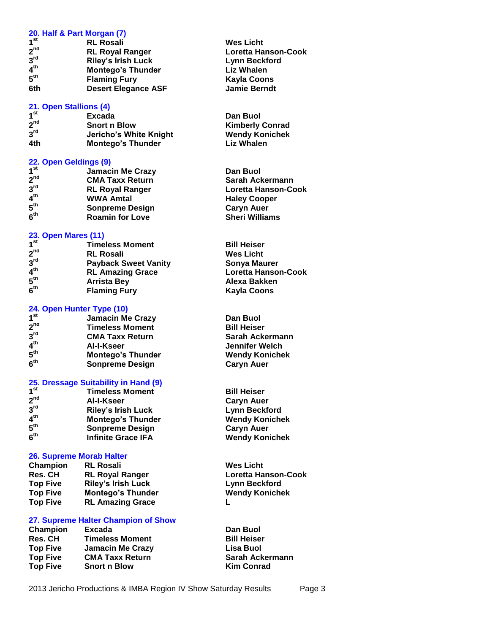| 20. Half & Part Morgan (7) |                                            |                            |
|----------------------------|--------------------------------------------|----------------------------|
| 1 <sup>st</sup>            |                                            |                            |
| 2 <sup>nd</sup>            | <b>RL Rosali</b>                           | <b>Wes Licht</b>           |
| 3 <sup>rd</sup>            | <b>RL Royal Ranger</b>                     | <b>Loretta Hanson-Cook</b> |
|                            | <b>Riley's Irish Luck</b>                  | <b>Lynn Beckford</b>       |
| 4 <sup>th</sup>            | <b>Montego's Thunder</b>                   | <b>Liz Whalen</b>          |
| 5 <sup>th</sup>            | <b>Flaming Fury</b>                        | <b>Kayla Coons</b>         |
| 6th                        | <b>Desert Elegance ASF</b>                 | <b>Jamie Berndt</b>        |
| 21. Open Stallions (4)     |                                            |                            |
| 1 <sup>st</sup>            | Excada                                     | Dan Buol                   |
| 2 <sup>nd</sup>            | <b>Snort n Blow</b>                        | <b>Kimberly Conrad</b>     |
| 3 <sup>rd</sup>            | Jericho's White Knight                     | <b>Wendy Konichek</b>      |
| 4th                        | <b>Montego's Thunder</b>                   | <b>Liz Whalen</b>          |
| 22. Open Geldings (9)      |                                            |                            |
| 1 <sup>st</sup>            | <b>Jamacin Me Crazy</b>                    | Dan Buol                   |
| 2 <sup>nd</sup>            | <b>CMA Taxx Return</b>                     | Sarah Ackermann            |
| 3 <sup>rd</sup>            |                                            | Loretta Hanson-Cook        |
| 4 <sup>th</sup>            | <b>RL Royal Ranger</b><br><b>WWA Amtal</b> |                            |
| 5 <sup>th</sup>            |                                            | <b>Haley Cooper</b>        |
|                            | <b>Sonpreme Design</b>                     | <b>Caryn Auer</b>          |
| 6 <sup>th</sup>            | <b>Roamin for Love</b>                     | <b>Sheri Williams</b>      |
| <b>23. Open Mares (11)</b> |                                            |                            |
| 1 <sup>st</sup>            | <b>Timeless Moment</b>                     | <b>Bill Heiser</b>         |
| 2 <sup>nd</sup>            | <b>RL Rosali</b>                           | <b>Wes Licht</b>           |
| 3 <sup>rd</sup>            | <b>Payback Sweet Vanity</b>                | <b>Sonya Maurer</b>        |
| 4 <sup>th</sup>            | <b>RL Amazing Grace</b>                    | Loretta Hanson-Cook        |
| $5^{\text{th}}$            | <b>Arrista Bey</b>                         | Alexa Bakken               |
| 6 <sup>th</sup>            | <b>Flaming Fury</b>                        | <b>Kayla Coons</b>         |
| 24. Open Hunter Type (10)  |                                            |                            |
| 1 <sup>st</sup>            | <b>Jamacin Me Crazy</b>                    | Dan Buol                   |
| 2 <sup>nd</sup>            | <b>Timeless Moment</b>                     | <b>Bill Heiser</b>         |
| 3 <sup>rd</sup>            | <b>CMA Taxx Return</b>                     | Sarah Ackermann            |
| 4 <sup>th</sup>            |                                            | <b>Jennifer Welch</b>      |
| ${\bf 5}^{\rm th}$         | Al-I-Kseer                                 |                            |
| 6 <sup>th</sup>            | <b>Montego's Thunder</b>                   | <b>Wendy Konichek</b>      |
|                            | <b>Sonpreme Design</b>                     | <b>Caryn Auer</b>          |
|                            | 25. Dressage Suitability in Hand (9)       |                            |
| 1 <sup>st</sup>            | <b>Timeless Moment</b>                     | <b>Bill Heiser</b>         |
| 2 <sup>nd</sup>            | Al-I-Kseer                                 | <b>Caryn Auer</b>          |
| 3 <sup>rd</sup>            | <b>Riley's Irish Luck</b>                  | <b>Lynn Beckford</b>       |
| 4 <sup>th</sup>            | Montego's Thunder                          | <b>Wendy Konichek</b>      |
| $5^{\text{th}}$            | <b>Sonpreme Design</b>                     | <b>Caryn Auer</b>          |
| $\mathbf{6}^{\text{th}}$   | <b>Infinite Grace IFA</b>                  | <b>Wendy Konichek</b>      |
| 26. Supreme Morab Halter   |                                            |                            |
| Champion                   | <b>RL Rosali</b>                           | <b>Wes Licht</b>           |
| <b>Res. CH</b>             | <b>RL Royal Ranger</b>                     | Loretta Hanson-Cook        |
| <b>Top Five</b>            | <b>Riley's Irish Luck</b>                  | <b>Lynn Beckford</b>       |
| <b>Top Five</b>            | <b>Montego's Thunder</b>                   | <b>Wendy Konichek</b>      |
| <b>Top Five</b>            | <b>RL Amazing Grace</b>                    | L                          |
|                            |                                            |                            |
|                            | 27. Supreme Halter Champion of Show        |                            |
| Champion                   | Excada                                     | Dan Buol                   |
| <b>Res. CH</b>             | <b>Timeless Moment</b>                     | <b>Bill Heiser</b>         |
| <b>Top Five</b>            | <b>Jamacin Me Crazy</b>                    | Lisa Buol                  |
| <b>Top Five</b>            | <b>CMA Taxx Return</b>                     | Sarah Ackermann            |
| <b>Top Five</b>            | <b>Snort n Blow</b>                        | <b>Kim Conrad</b>          |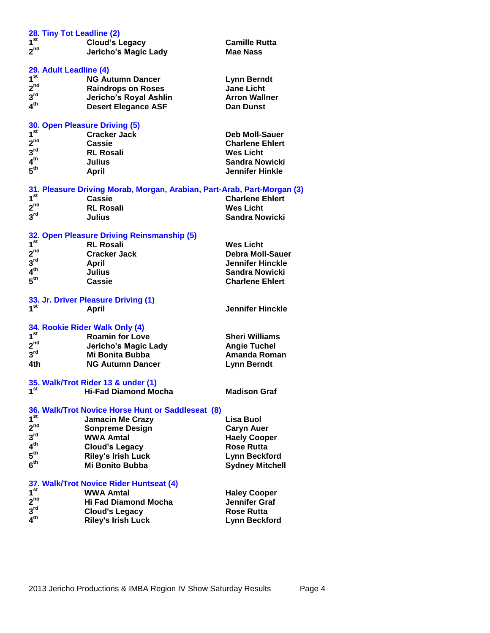| 28. Tiny Tot Leadline (2) |                                                                         |                         |  |
|---------------------------|-------------------------------------------------------------------------|-------------------------|--|
| $1^{\rm st}$              | <b>Cloud's Legacy</b>                                                   | <b>Camille Rutta</b>    |  |
| 2 <sup>nd</sup>           | Jericho's Magic Lady                                                    | Mae Nass                |  |
|                           |                                                                         |                         |  |
| 29. Adult Leadline (4)    |                                                                         |                         |  |
| 1 <sup>st</sup>           | <b>NG Autumn Dancer</b>                                                 | <b>Lynn Berndt</b>      |  |
| 2 <sup>nd</sup>           | <b>Raindrops on Roses</b>                                               | <b>Jane Licht</b>       |  |
| $3^{\text{rd}}$           | Jericho's Royal Ashlin                                                  | <b>Arron Wallner</b>    |  |
| $4^{\text{th}}$           |                                                                         |                         |  |
|                           | <b>Desert Elegance ASF</b>                                              | <b>Dan Dunst</b>        |  |
|                           | 30. Open Pleasure Driving (5)                                           |                         |  |
| 1 <sup>st</sup>           | <b>Cracker Jack</b>                                                     | <b>Deb Moll-Sauer</b>   |  |
| 2 <sup>nd</sup>           | Cassie                                                                  | <b>Charlene Ehlert</b>  |  |
| $3^{\mathsf{rd}}$         | <b>RL Rosali</b>                                                        | <b>Wes Licht</b>        |  |
| 4 <sup>th</sup>           | <b>Julius</b>                                                           | <b>Sandra Nowicki</b>   |  |
| 5 <sup>th</sup>           |                                                                         | <b>Jennifer Hinkle</b>  |  |
|                           | April                                                                   |                         |  |
|                           | 31. Pleasure Driving Morab, Morgan, Arabian, Part-Arab, Part-Morgan (3) |                         |  |
| 1 <sup>st</sup>           | Cassie                                                                  | <b>Charlene Ehlert</b>  |  |
| 2 <sup>nd</sup>           | <b>RL Rosali</b>                                                        | <b>Wes Licht</b>        |  |
| 3 <sup>rd</sup>           | Julius                                                                  | <b>Sandra Nowicki</b>   |  |
|                           |                                                                         |                         |  |
|                           | 32. Open Pleasure Driving Reinsmanship (5)                              |                         |  |
| 1 <sup>st</sup>           | <b>RL Rosali</b>                                                        | <b>Wes Licht</b>        |  |
| 2 <sup>nd</sup>           | <b>Cracker Jack</b>                                                     | <b>Debra Moll-Sauer</b> |  |
| $3^{\mathsf{rd}}$         | April                                                                   | <b>Jennifer Hinckle</b> |  |
| 4 <sup>th</sup>           | <b>Julius</b>                                                           | Sandra Nowicki          |  |
| $5^{\text{th}}$           | <b>Cassie</b>                                                           | <b>Charlene Ehlert</b>  |  |
|                           |                                                                         |                         |  |
|                           | 33. Jr. Driver Pleasure Driving (1)                                     |                         |  |
| 1 <sup>st</sup>           | April                                                                   | <b>Jennifer Hinckle</b> |  |
|                           |                                                                         |                         |  |
|                           | 34. Rookie Rider Walk Only (4)                                          |                         |  |
| 1 <sup>st</sup>           | <b>Roamin for Love</b>                                                  | <b>Sheri Williams</b>   |  |
| 2 <sup>nd</sup>           | Jericho's Magic Lady                                                    | <b>Angie Tuchel</b>     |  |
| $3^{\text{rd}}$           | Mi Bonita Bubba                                                         | <b>Amanda Roman</b>     |  |
| 4th                       | <b>NG Autumn Dancer</b>                                                 | <b>Lynn Berndt</b>      |  |
|                           |                                                                         |                         |  |
|                           | 35. Walk/Trot Rider 13 & under (1)                                      |                         |  |
| 1 <sup>st</sup>           | <b>Hi-Fad Diamond Mocha</b>                                             | <b>Madison Graf</b>     |  |
|                           |                                                                         |                         |  |
|                           | 36. Walk/Trot Novice Horse Hunt or Saddleseat (8)                       |                         |  |
| 1 <sup>st</sup>           | <b>Jamacin Me Crazy</b>                                                 | Lisa Buol               |  |
| 2 <sup>nd</sup>           | <b>Sonpreme Design</b>                                                  | <b>Caryn Auer</b>       |  |
| 3 <sup>rd</sup>           | <b>WWA Amtal</b>                                                        | <b>Haely Cooper</b>     |  |
| 4 <sup>th</sup>           | <b>Cloud's Legacy</b>                                                   | <b>Rose Rutta</b>       |  |
| $5^{\sf th}$              | <b>Riley's Irish Luck</b>                                               | <b>Lynn Beckford</b>    |  |
| 6 <sup>th</sup>           | <b>Mi Bonito Bubba</b>                                                  | <b>Sydney Mitchell</b>  |  |
|                           |                                                                         |                         |  |
|                           | 37. Walk/Trot Novice Rider Huntseat (4)                                 |                         |  |
| 1 <sup>st</sup>           | <b>WWA Amtal</b>                                                        | <b>Haley Cooper</b>     |  |
| 2 <sup>nd</sup>           | <b>Hi Fad Diamond Mocha</b>                                             | Jennifer Graf           |  |
| $3^{\text{rd}}$           | <b>Cloud's Legacy</b>                                                   | <b>Rose Rutta</b>       |  |
| 4 <sup>th</sup>           | <b>Riley's Irish Luck</b>                                               | <b>Lynn Beckford</b>    |  |
|                           |                                                                         |                         |  |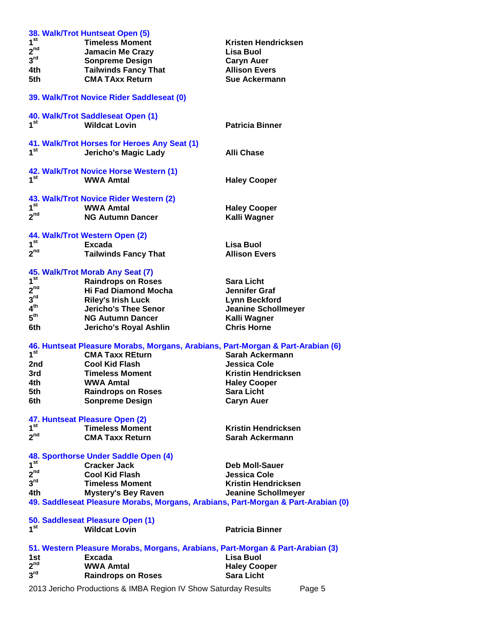|                 | 2013 Jericho Productions & IMBA Region IV Show Saturday Results                   | Page 5                                             |
|-----------------|-----------------------------------------------------------------------------------|----------------------------------------------------|
| 3 <sup>rd</sup> | <b>Raindrops on Roses</b>                                                         | <b>Sara Licht</b>                                  |
| 2 <sup>nd</sup> | <b>WWA Amtal</b>                                                                  | <b>Haley Cooper</b>                                |
| 1st             | Excada                                                                            | Lisa Buol                                          |
|                 | 51. Western Pleasure Morabs, Morgans, Arabians, Part-Morgan & Part-Arabian (3)    |                                                    |
|                 | <b>Wildcat Lovin</b>                                                              | <b>Patricia Binner</b>                             |
| 1 <sup>st</sup> | 50. Saddleseat Pleasure Open (1)                                                  |                                                    |
|                 |                                                                                   |                                                    |
|                 | 49. Saddleseat Pleasure Morabs, Morgans, Arabians, Part-Morgan & Part-Arabian (0) |                                                    |
| 4th             | <b>Mystery's Bey Raven</b>                                                        | <b>Jeanine Schollmeyer</b>                         |
| 3 <sup>rd</sup> | <b>Timeless Moment</b>                                                            | <b>Kristin Hendricksen</b>                         |
| 2 <sup>nd</sup> | <b>Cool Kid Flash</b>                                                             | <b>Jessica Cole</b>                                |
| 1 <sup>st</sup> | <b>Cracker Jack</b>                                                               | <b>Deb Moll-Sauer</b>                              |
|                 | 48. Sporthorse Under Saddle Open (4)                                              |                                                    |
| $2^{nd}$        | <b>CMA Taxx Return</b>                                                            | Sarah Ackermann                                    |
| 1 <sup>st</sup> | <b>Timeless Moment</b>                                                            | <b>Kristin Hendricksen</b>                         |
|                 | 47. Huntseat Pleasure Open (2)                                                    |                                                    |
|                 |                                                                                   |                                                    |
| 6th             | <b>Sonpreme Design</b>                                                            | <b>Caryn Auer</b>                                  |
| 5th             | <b>Raindrops on Roses</b>                                                         | <b>Sara Licht</b>                                  |
| 4th             | <b>WWA Amtal</b>                                                                  | <b>Haley Cooper</b>                                |
| 3rd             | <b>Timeless Moment</b>                                                            | <b>Kristin Hendricksen</b>                         |
| 2nd             | <b>Cool Kid Flash</b>                                                             | Jessica Cole                                       |
| 1 <sup>st</sup> | <b>CMA Taxx REturn</b>                                                            | Sarah Ackermann                                    |
|                 | 46. Huntseat Pleasure Morabs, Morgans, Arabians, Part-Morgan & Part-Arabian (6)   |                                                    |
|                 | Jericho's Royal Ashlin                                                            |                                                    |
| 6th             |                                                                                   | Kalli Wagner<br><b>Chris Horne</b>                 |
| $5^{\text{th}}$ | <b>NG Autumn Dancer</b>                                                           |                                                    |
| 4 <sup>th</sup> | <b>Riley's Irish Luck</b><br><b>Jericho's Thee Senor</b>                          | <b>Lynn Beckford</b><br><b>Jeanine Schollmeyer</b> |
| $3^{\text{rd}}$ |                                                                                   |                                                    |
| 2 <sup>nd</sup> | <b>Hi Fad Diamond Mocha</b>                                                       | Jennifer Graf                                      |
| 1 <sup>st</sup> | 45. Walk/Trot Morab Any Seat (7)<br><b>Raindrops on Roses</b>                     | <b>Sara Licht</b>                                  |
|                 |                                                                                   |                                                    |
| 2 <sup>nd</sup> | <b>Tailwinds Fancy That</b>                                                       | <b>Allison Evers</b>                               |
| 1 <sup>st</sup> | <b>Excada</b>                                                                     | <b>Lisa Buol</b>                                   |
|                 | 44. Walk/Trot Western Open (2)                                                    |                                                    |
|                 |                                                                                   |                                                    |
| 2 <sup>nd</sup> | <b>NG Autumn Dancer</b>                                                           | Kalli Wagner                                       |
| 1 <sup>st</sup> | <b>WWA Amtal</b>                                                                  | <b>Haley Cooper</b>                                |
|                 | 43. Walk/Trot Novice Rider Western (2)                                            |                                                    |
|                 |                                                                                   |                                                    |
| 1 <sup>st</sup> | <b>WWA Amtal</b>                                                                  | <b>Haley Cooper</b>                                |
|                 | 42. Walk/Trot Novice Horse Western (1)                                            |                                                    |
|                 |                                                                                   |                                                    |
| 1 <sup>st</sup> | <b>Jericho's Magic Lady</b>                                                       | <b>Alli Chase</b>                                  |
|                 | 41. Walk/Trot Horses for Heroes Any Seat (1)                                      |                                                    |
|                 | <b>Wildcat Lovin</b>                                                              | <b>Patricia Binner</b>                             |
| 1 <sup>st</sup> | 40. Walk/Trot Saddleseat Open (1)                                                 |                                                    |
|                 |                                                                                   |                                                    |
|                 | 39. Walk/Trot Novice Rider Saddleseat (0)                                         |                                                    |
|                 |                                                                                   |                                                    |
| 5th             | <b>CMA TAxx Return</b>                                                            | <b>Sue Ackermann</b>                               |
| 4th             | <b>Tailwinds Fancy That</b>                                                       | <b>Allison Evers</b>                               |
| $3^{\text{rd}}$ | <b>Sonpreme Design</b>                                                            | <b>Caryn Auer</b>                                  |
| 2 <sup>nd</sup> | <b>Jamacin Me Crazy</b>                                                           | Lisa Buol                                          |
| 1 <sup>st</sup> | <b>Timeless Moment</b>                                                            | Kristen Hendricksen                                |
|                 | 38. Walk/Trot Huntseat Open (5)                                                   |                                                    |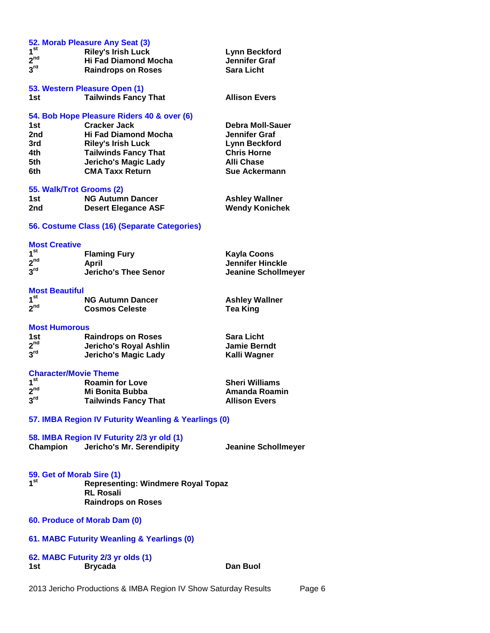|                                                 | 52. Morab Pleasure Any Seat (3)                      |                            |
|-------------------------------------------------|------------------------------------------------------|----------------------------|
| 1 <sup>st</sup>                                 | <b>Riley's Irish Luck</b>                            | <b>Lynn Beckford</b>       |
| 2 <sup>nd</sup>                                 | <b>Hi Fad Diamond Mocha</b>                          | <b>Jennifer Graf</b>       |
| 3 <sup>rd</sup>                                 | <b>Raindrops on Roses</b>                            | <b>Sara Licht</b>          |
|                                                 |                                                      |                            |
|                                                 | 53. Western Pleasure Open (1)                        |                            |
| 1st                                             | <b>Tailwinds Fancy That</b>                          | <b>Allison Evers</b>       |
|                                                 |                                                      |                            |
|                                                 | 54. Bob Hope Pleasure Riders 40 & over (6)           |                            |
| 1st                                             | <b>Cracker Jack</b>                                  | Debra Moll-Sauer           |
| 2nd                                             | <b>Hi Fad Diamond Mocha</b>                          | Jennifer Graf              |
| 3rd -                                           | <b>Riley's Irish Luck</b>                            | <b>Lynn Beckford</b>       |
| 4th                                             | <b>Tailwinds Fancy That</b>                          | <b>Chris Horne</b>         |
| 5th                                             | <b>Jericho's Magic Lady</b>                          | <b>Alli Chase</b>          |
| 6th l                                           | <b>CMA Taxx Return</b>                               | <b>Sue Ackermann</b>       |
|                                                 |                                                      |                            |
| 55. Walk/Trot Grooms (2)                        |                                                      |                            |
| 1st                                             | <b>NG Autumn Dancer</b>                              | <b>Ashley Wallner</b>      |
| 2nd                                             | <b>Desert Elegance ASF</b>                           | <b>Wendy Konichek</b>      |
|                                                 |                                                      |                            |
|                                                 | 56. Costume Class (16) (Separate Categories)         |                            |
|                                                 |                                                      |                            |
| <b>Most Creative</b>                            |                                                      |                            |
| 1 <sup>st</sup>                                 | <b>Flaming Fury</b>                                  | <b>Kayla Coons</b>         |
| 2 <sup>nd</sup>                                 | <b>April</b>                                         | <b>Jennifer Hinckle</b>    |
| $3^{\text{rd}}$                                 | <b>Jericho's Thee Senor</b>                          | <b>Jeanine Schollmeyer</b> |
|                                                 |                                                      |                            |
| <b>Most Beautiful</b>                           |                                                      |                            |
| 1 <sup>st</sup>                                 | <b>NG Autumn Dancer</b>                              | <b>Ashley Wallner</b>      |
| 2 <sup>nd</sup>                                 | <b>Cosmos Celeste</b>                                | <b>Tea King</b>            |
|                                                 |                                                      |                            |
|                                                 |                                                      |                            |
| <b>Most Humorous</b>                            |                                                      |                            |
| 1st<br>2 <sup>nd</sup>                          | <b>Raindrops on Roses</b>                            | <b>Sara Licht</b>          |
| 3 <sup>rd</sup>                                 | Jericho's Royal Ashlin                               | <b>Jamie Berndt</b>        |
|                                                 | <b>Jericho's Magic Lady</b>                          | Kalli Wagner               |
|                                                 |                                                      |                            |
| <b>Character/Movie Theme</b><br>1 <sup>st</sup> |                                                      |                            |
| 2 <sup>nd</sup>                                 | <b>Roamin for Love</b>                               | <b>Sheri Williams</b>      |
|                                                 | Mi Bonita Bubba                                      | Amanda Roamin              |
| $3^{\text{rd}}$                                 | <b>Tailwinds Fancy That</b>                          | <b>Allison Evers</b>       |
|                                                 |                                                      |                            |
|                                                 | 57. IMBA Region IV Futurity Weanling & Yearlings (0) |                            |
|                                                 |                                                      |                            |
|                                                 | 58. IMBA Region IV Futurity 2/3 yr old (1)           |                            |
| Champion                                        | Jericho's Mr. Serendipity                            | <b>Jeanine Schollmeyer</b> |
|                                                 |                                                      |                            |
|                                                 |                                                      |                            |
| 59. Get of Morab Sire (1)                       |                                                      |                            |
| 1 <sup>st</sup>                                 | <b>Representing: Windmere Royal Topaz</b>            |                            |
|                                                 | <b>RL Rosali</b>                                     |                            |
|                                                 | <b>Raindrops on Roses</b>                            |                            |
|                                                 |                                                      |                            |
| 60. Produce of Morab Dam (0)                    |                                                      |                            |
|                                                 |                                                      |                            |
|                                                 | 61. MABC Futurity Weanling & Yearlings (0)           |                            |
|                                                 |                                                      |                            |
|                                                 | 62. MABC Futurity 2/3 yr olds (1)                    |                            |
| 1st                                             | <b>Brycada</b>                                       | Dan Buol                   |
|                                                 |                                                      |                            |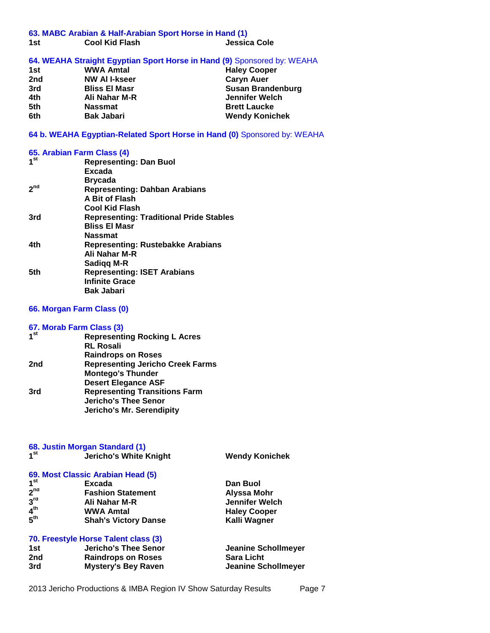#### **63. MABC Arabian & Half-Arabian Sport Horse in Hand (1)**

| 1st | <b>Cool Kid Flash</b> | Jessica Cole |
|-----|-----------------------|--------------|

## **64. WEAHA Straight Egyptian Sport Horse in Hand (9)** Sponsored by: WEAHA

| 1st | <b>WWA Amtal</b>     | <b>Haley Cooper</b>   |
|-----|----------------------|-----------------------|
| 2nd | <b>NW AI I-kseer</b> | <b>Caryn Auer</b>     |
| 3rd | <b>Bliss El Masr</b> | Susan Brandenburg     |
| 4th | Ali Nahar M-R        | Jennifer Welch        |
| 5th | <b>Nassmat</b>       | <b>Brett Laucke</b>   |
| 6th | <b>Bak Jabari</b>    | <b>Wendy Konichek</b> |

# **64 b. WEAHA Egyptian-Related Sport Horse in Hand (0)** Sponsored by: WEAHA

## **65. Arabian Farm Class (4)**

| <b>Representing: Dan Buol</b>                  |
|------------------------------------------------|
| Excada                                         |
| <b>Brycada</b>                                 |
| <b>Representing: Dahban Arabians</b>           |
| A Bit of Flash                                 |
| Cool Kid Flash                                 |
| <b>Representing: Traditional Pride Stables</b> |
| <b>Bliss El Masr</b>                           |
| <b>Nassmat</b>                                 |
| <b>Representing: Rustebakke Arabians</b>       |
| Ali Nahar M-R                                  |
| Sadigg M-R                                     |
| <b>Representing: ISET Arabians</b>             |
| <b>Infinite Grace</b>                          |
| <b>Bak Jabari</b>                              |
|                                                |

## **66. Morgan Farm Class (0)**

## **67. Morab Farm Class (3)**

| 1 <sup>st</sup> | <b>Representing Rocking L Acres</b>     |
|-----------------|-----------------------------------------|
|                 | <b>RL Rosali</b>                        |
|                 | <b>Raindrops on Roses</b>               |
| 2nd             | <b>Representing Jericho Creek Farms</b> |
|                 | <b>Montego's Thunder</b>                |
|                 | <b>Desert Elegance ASF</b>              |
| 3rd             | <b>Representing Transitions Farm</b>    |
|                 | <b>Jericho's Thee Senor</b>             |
|                 | <b>Jericho's Mr. Serendipity</b>        |
|                 |                                         |

| 68. Justin Morgan Standard (1)       |                                   |                       |  |  |
|--------------------------------------|-----------------------------------|-----------------------|--|--|
| 1 <sup>st</sup>                      | <b>Jericho's White Knight</b>     | <b>Wendy Konichek</b> |  |  |
|                                      |                                   |                       |  |  |
|                                      | 69. Most Classic Arabian Head (5) |                       |  |  |
| 1 <sup>st</sup>                      | Excada                            | Dan Buol              |  |  |
| 2 <sup>nd</sup>                      | <b>Fashion Statement</b>          | Alyssa Mohr           |  |  |
| 3 <sup>rd</sup>                      | Ali Nahar M-R                     | <b>Jennifer Welch</b> |  |  |
| 4 <sup>th</sup>                      | <b>WWA Amtal</b>                  | <b>Haley Cooper</b>   |  |  |
| 5 <sup>th</sup>                      | <b>Shah's Victory Danse</b>       | Kalli Wagner          |  |  |
| 70. Freestyle Horse Talent class (3) |                                   |                       |  |  |
| 1st                                  | <b>Jericho's Thee Senor</b>       | Jeanine Schollmeyer   |  |  |
| 2nd                                  | <b>Raindrops on Roses</b>         | <b>Sara Licht</b>     |  |  |
| 3rd                                  | <b>Mystery's Bey Raven</b>        | Jeanine Schollmeyer   |  |  |

2013 Jericho Productions & IMBA Region IV Show Saturday Results Page 7